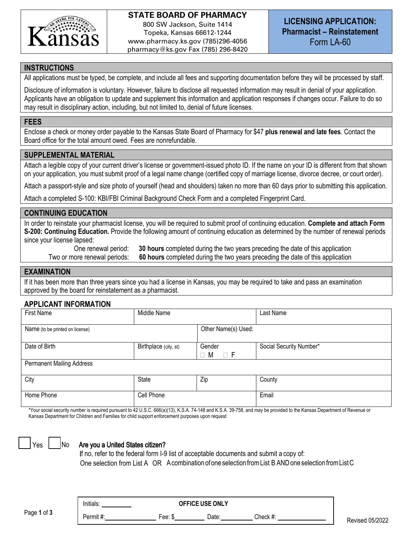

## **STATE BOARD OF PHARMACY** 800 SW Jackson, Suite 1414 Topeka, Kansas 66612-1244 www.pharmacy.ks.gov (785)296-4056

pharmacy@ks.gov Fax (785) 296-8420

**LICENSING APPLICATION: Pharmacist – Reinstatement** Form LA-60

### **INSTRUCTIONS**

All applications must be typed, be complete, and include all fees and supporting documentation before they will be processed by staff.

Disclosure of information is voluntary. However, failure to disclose all requested information may result in denial of your application. Applicants have an obligation to update and supplement this information and application responses if changes occur. Failure to do so may result in disciplinary action, including, but not limited to, denial of future licenses.

### **FEES**

Enclose a check or money order payable to the Kansas State Board of Pharmacy for \$47 **plus renewal and late fees**. Contact the Board office for the total amount owed. Fees are nonrefundable.

## **SUPPLEMENTAL MATERIAL**

Attach a legible copy of your current driver's license or government-issued photo ID. If the name on your ID is different from that shown on your application, you must submit proof of a legal name change (certified copy of marriage license, divorce decree, or court order).

Attach a passport-style and size photo of yourself (head and shoulders) taken no more than 60 days prior to submitting this application.

Attach a completed S-100: KBI/FBI Criminal Background Check Form and a completed Fingerprint Card.

### **CONTINUING EDUCATION**

In order to reinstate your pharmacist license, you will be required to submit proof of continuing education. **Complete and attach Form S-200: Continuing Education.** Provide the following amount of continuing education as determined by the number of renewal periods since your license lapsed:

 One renewal period: **30 hours** completed during the two years preceding the date of this application Two or more renewal periods: **60 hours** completed during the two years preceding the date of this application

## **EXAMINATION**

If it has been more than three years since you had a license in Kansas, you may be required to take and pass an examination approved by the board for reinstatement as a pharmacist.

### **APPLICANT INFORMATION**

| First Name                       | Middle Name           |                              | Last Name               |
|----------------------------------|-----------------------|------------------------------|-------------------------|
| Name (to be printed on license)  | Other Name(s) Used:   |                              |                         |
| Date of Birth                    | Birthplace (city, st) | Gender<br>$\Box$ F<br>M<br>□ | Social Security Number* |
| <b>Permanent Mailing Address</b> |                       |                              |                         |
| City                             | State                 | Zip                          | County                  |
| Home Phone                       | Cell Phone            |                              | Email                   |

\*Your social security number is required pursuant to 42 U.S.C. 666(a)(13), K.S.A. 74-148 and K.S.A. 39-758, and may be provided to the Kansas Department of Revenue or Kansas Department for Children and Families for child support enforcement purposes upon request



### $Yes | No$  Are you a United States citizen?

If no, refer to the federal form I-9 list of acceptable documents and submit a copy of: One selection from List A OR Acombination ofoneselection fromList B ANDoneselection fromListC

Page **1** of **3**

Permit #: The Check #: Fee: \$ Date: Check #:

Initials: **OFFICE USE ONLY**

Revised 05/2022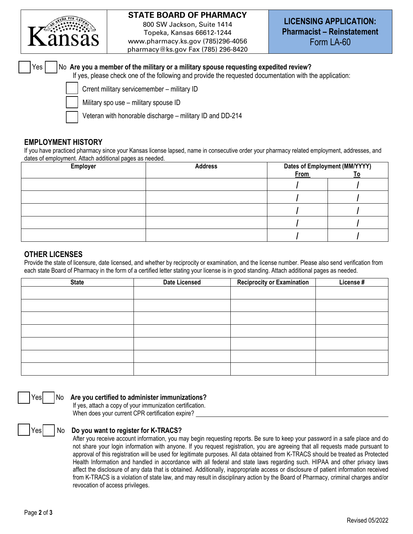

# **STATE BOARD OF PHARMACY**

800 SW Jackson, Suite 1414 Topeka, Kansas 66612-1244 www.pharmacy.ks.gov (785)296-4056 pharmacy@ks.gov Fax (785) 296-8420

 Yes No **Are you a member of the military or a military spouse requesting expedited review?**  If yes, please check one of the following and provide the requested documentation with the application:

Crrent military servicemember - military ID

Military spo use – military spouse ID

Veteran with honorable discharge – military ID and DD-214

## **EMPLOYMENT HISTORY**

If you have practiced pharmacy since your Kansas license lapsed, name in consecutive order your pharmacy related employment, addresses, and dates of employment. Attach additional pages as needed.

| <b>Employer</b> | <b>Address</b> | <b>Dates of Employment (MM/YYYY)</b> |  |
|-----------------|----------------|--------------------------------------|--|
|                 |                | <b>From</b>                          |  |
|                 |                |                                      |  |
|                 |                |                                      |  |
|                 |                |                                      |  |
|                 |                |                                      |  |
|                 |                |                                      |  |

## **OTHER LICENSES**

Provide the state of licensure, date licensed, and whether by reciprocity or examination, and the license number. Please also send verification from each state Board of Pharmacy in the form of a certified letter stating your license is in good standing. Attach additional pages as needed.

| <b>State</b> | <b>Date Licensed</b> | <b>Reciprocity or Examination</b> | License # |
|--------------|----------------------|-----------------------------------|-----------|
|              |                      |                                   |           |
|              |                      |                                   |           |
|              |                      |                                   |           |
|              |                      |                                   |           |
|              |                      |                                   |           |
|              |                      |                                   |           |
|              |                      |                                   |           |

## Yes | No Are you certified to administer immunizations?

If yes, attach a copy of your immunization certification. When does your current CPR certification expire?

## Yes | No D**o you want to register for K-TRACS?**

After you receive account information, you may begin requesting reports. Be sure to keep your password in a safe place and do not share your login information with anyone. If you request registration, you are agreeing that all requests made pursuant to approval of this registration will be used for legitimate purposes. All data obtained from K-TRACS should be treated as Protected Health Information and handled in accordance with all federal and state laws regarding such. HIPAA and other privacy laws affect the disclosure of any data that is obtained. Additionally, inappropriate access or disclosure of patient information received from K-TRACS is a violation of state law, and may result in disciplinary action by the Board of Pharmacy, criminal charges and/or revocation of access privileges.